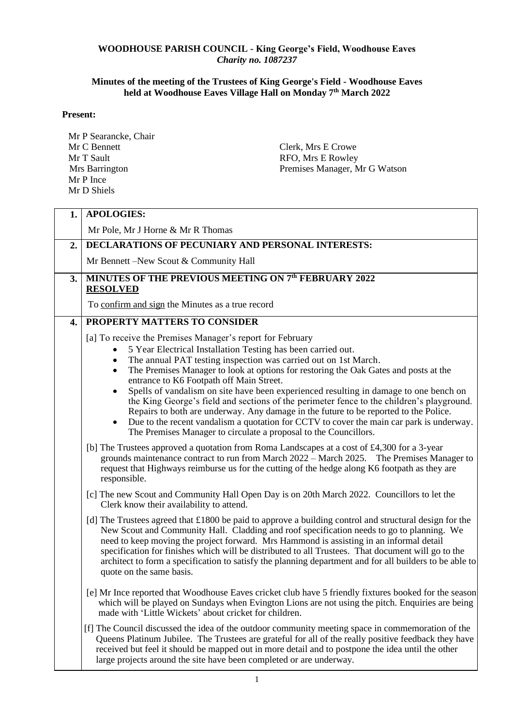## **WOODHOUSE PARISH COUNCIL - King George's Field, Woodhouse Eaves**  *Charity no. 1087237*

## **Minutes of the meeting of the Trustees of King George's Field - Woodhouse Eaves held at Woodhouse Eaves Village Hall on Monday 7 th March 2022**

## **Present:**

Mr P Searancke, Chair Mr C Bennett Mr T Sault Mrs Barrington Mr P Ince Mr D Shiels Clerk, Mrs E Crowe RFO, Mrs E Rowley Premises Manager, Mr G Watson

| 1. | <b>APOLOGIES:</b>                                                                                                                                                                                                                                                                                                                                                                                                                                                                                                                                                                                                                                                                                                                                                                                                                                                                                                                                                                                                                                                                                                                                            |  |  |
|----|--------------------------------------------------------------------------------------------------------------------------------------------------------------------------------------------------------------------------------------------------------------------------------------------------------------------------------------------------------------------------------------------------------------------------------------------------------------------------------------------------------------------------------------------------------------------------------------------------------------------------------------------------------------------------------------------------------------------------------------------------------------------------------------------------------------------------------------------------------------------------------------------------------------------------------------------------------------------------------------------------------------------------------------------------------------------------------------------------------------------------------------------------------------|--|--|
|    | Mr Pole, Mr J Horne & Mr R Thomas                                                                                                                                                                                                                                                                                                                                                                                                                                                                                                                                                                                                                                                                                                                                                                                                                                                                                                                                                                                                                                                                                                                            |  |  |
| 2. | DECLARATIONS OF PECUNIARY AND PERSONAL INTERESTS:                                                                                                                                                                                                                                                                                                                                                                                                                                                                                                                                                                                                                                                                                                                                                                                                                                                                                                                                                                                                                                                                                                            |  |  |
|    | Mr Bennett – New Scout & Community Hall                                                                                                                                                                                                                                                                                                                                                                                                                                                                                                                                                                                                                                                                                                                                                                                                                                                                                                                                                                                                                                                                                                                      |  |  |
| 3. | MINUTES OF THE PREVIOUS MEETING ON 7th FEBRUARY 2022<br><b>RESOLVED</b>                                                                                                                                                                                                                                                                                                                                                                                                                                                                                                                                                                                                                                                                                                                                                                                                                                                                                                                                                                                                                                                                                      |  |  |
|    | To confirm and sign the Minutes as a true record                                                                                                                                                                                                                                                                                                                                                                                                                                                                                                                                                                                                                                                                                                                                                                                                                                                                                                                                                                                                                                                                                                             |  |  |
| 4. | PROPERTY MATTERS TO CONSIDER                                                                                                                                                                                                                                                                                                                                                                                                                                                                                                                                                                                                                                                                                                                                                                                                                                                                                                                                                                                                                                                                                                                                 |  |  |
|    | [a] To receive the Premises Manager's report for February<br>5 Year Electrical Installation Testing has been carried out.<br>$\bullet$<br>The annual PAT testing inspection was carried out on 1st March.<br>$\bullet$<br>The Premises Manager to look at options for restoring the Oak Gates and posts at the<br>$\bullet$<br>entrance to K6 Footpath off Main Street.<br>Spells of vandalism on site have been experienced resulting in damage to one bench on<br>$\bullet$<br>the King George's field and sections of the perimeter fence to the children's playground.<br>Repairs to both are underway. Any damage in the future to be reported to the Police.<br>Due to the recent vandalism a quotation for CCTV to cover the main car park is underway.<br>$\bullet$<br>The Premises Manager to circulate a proposal to the Councillors.<br>[b] The Trustees approved a quotation from Roma Landscapes at a cost of £4,300 for a 3-year<br>grounds maintenance contract to run from March 2022 – March 2025. The Premises Manager to<br>request that Highways reimburse us for the cutting of the hedge along K6 footpath as they are<br>responsible. |  |  |
|    | [c] The new Scout and Community Hall Open Day is on 20th March 2022. Councillors to let the<br>Clerk know their availability to attend.                                                                                                                                                                                                                                                                                                                                                                                                                                                                                                                                                                                                                                                                                                                                                                                                                                                                                                                                                                                                                      |  |  |
|    | [d] The Trustees agreed that $\pounds 1800$ be paid to approve a building control and structural design for the<br>New Scout and Community Hall. Cladding and roof specification needs to go to planning. We<br>need to keep moving the project forward. Mrs Hammond is assisting in an informal detail<br>specification for finishes which will be distributed to all Trustees. That document will go to the<br>architect to form a specification to satisfy the planning department and for all builders to be able to<br>quote on the same basis.                                                                                                                                                                                                                                                                                                                                                                                                                                                                                                                                                                                                         |  |  |
|    | [e] Mr Ince reported that Woodhouse Eaves cricket club have 5 friendly fixtures booked for the season<br>which will be played on Sundays when Evington Lions are not using the pitch. Enquiries are being<br>made with 'Little Wickets' about cricket for children.                                                                                                                                                                                                                                                                                                                                                                                                                                                                                                                                                                                                                                                                                                                                                                                                                                                                                          |  |  |
|    | [f] The Council discussed the idea of the outdoor community meeting space in commemoration of the<br>Queens Platinum Jubilee. The Trustees are grateful for all of the really positive feedback they have<br>received but feel it should be mapped out in more detail and to postpone the idea until the other<br>large projects around the site have been completed or are underway.                                                                                                                                                                                                                                                                                                                                                                                                                                                                                                                                                                                                                                                                                                                                                                        |  |  |